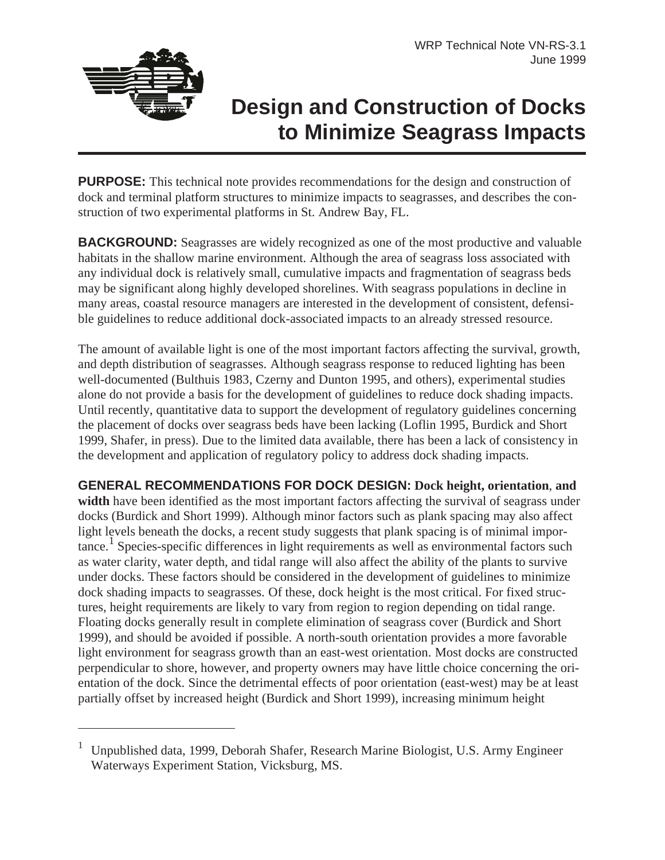

## **Design and Construction of Docks to Minimize Seagrass Impacts**

**PURPOSE:** This technical note provides recommendations for the design and construction of dock and terminal platform structures to minimize impacts to seagrasses, and describes the construction of two experimental platforms in St. Andrew Bay, FL.

**BACKGROUND:** Seagrasses are widely recognized as one of the most productive and valuable habitats in the shallow marine environment. Although the area of seagrass loss associated with any individual dock is relatively small, cumulative impacts and fragmentation of seagrass beds may be significant along highly developed shorelines. With seagrass populations in decline in many areas, coastal resource managers are interested in the development of consistent, defensible guidelines to reduce additional dock-associated impacts to an already stressed resource.

The amount of available light is one of the most important factors affecting the survival, growth, and depth distribution of seagrasses. Although seagrass response to reduced lighting has been well-documented (Bulthuis 1983, Czerny and Dunton 1995, and others), experimental studies alone do not provide a basis for the development of guidelines to reduce dock shading impacts. Until recently, quantitative data to support the development of regulatory guidelines concerning the placement of docks over seagrass beds have been lacking (Loflin 1995, Burdick and Short 1999, Shafer, in press). Due to the limited data available, there has been a lack of consistency in the development and application of regulatory policy to address dock shading impacts.

**GENERAL RECOMMENDATIONS FOR DOCK DESIGN: Dock height, orientation**, **and width** have been identified as the most important factors affecting the survival of seagrass under docks (Burdick and Short 1999). Although minor factors such as plank spacing may also affect light levels beneath the docks, a recent study suggests that plank spacing is of minimal impor $tance<sup>1</sup>$  Species-specific differences in light requirements as well as environmental factors such as water clarity, water depth, and tidal range will also affect the ability of the plants to survive under docks. These factors should be considered in the development of guidelines to minimize dock shading impacts to seagrasses. Of these, dock height is the most critical. For fixed structures, height requirements are likely to vary from region to region depending on tidal range. Floating docks generally result in complete elimination of seagrass cover (Burdick and Short 1999), and should be avoided if possible. A north-south orientation provides a more favorable light environment for seagrass growth than an east-west orientation. Most docks are constructed perpendicular to shore, however, and property owners may have little choice concerning the orientation of the dock. Since the detrimental effects of poor orientation (east-west) may be at least partially offset by increased height (Burdick and Short 1999), increasing minimum height

<sup>1</sup> Unpublished data, 1999, Deborah Shafer, Research Marine Biologist, U.S. Army Engineer Waterways Experiment Station, Vicksburg, MS.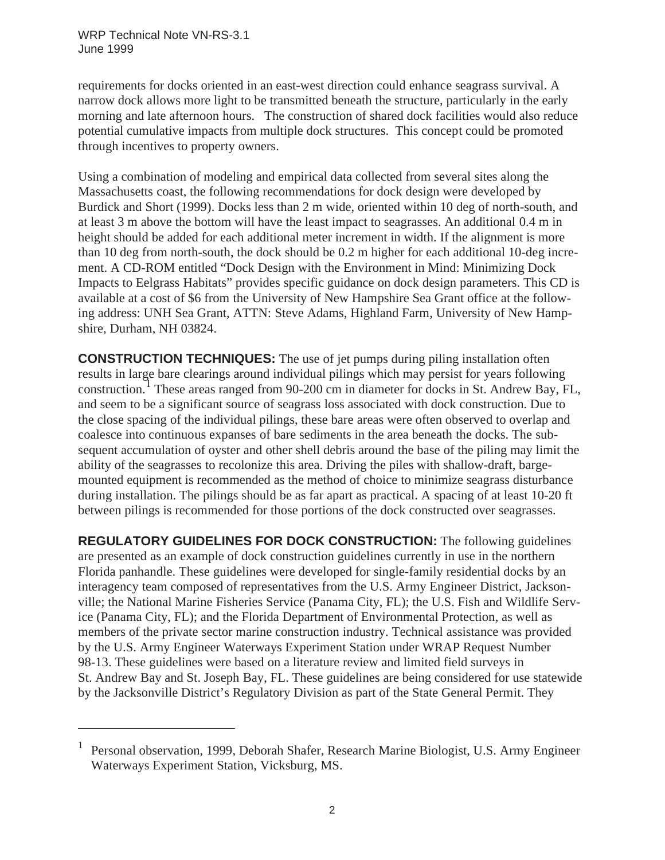requirements for docks oriented in an east-west direction could enhance seagrass survival. A narrow dock allows more light to be transmitted beneath the structure, particularly in the early morning and late afternoon hours. The construction of shared dock facilities would also reduce potential cumulative impacts from multiple dock structures. This concept could be promoted through incentives to property owners.

Using a combination of modeling and empirical data collected from several sites along the Massachusetts coast, the following recommendations for dock design were developed by Burdick and Short (1999). Docks less than 2 m wide, oriented within 10 deg of north-south, and at least 3 m above the bottom will have the least impact to seagrasses. An additional 0.4 m in height should be added for each additional meter increment in width. If the alignment is more than 10 deg from north-south, the dock should be 0.2 m higher for each additional 10-deg increment. A CD-ROM entitled "Dock Design with the Environment in Mind: Minimizing Dock Impacts to Eelgrass Habitats" provides specific guidance on dock design parameters. This CD is available at a cost of \$6 from the University of New Hampshire Sea Grant office at the following address: UNH Sea Grant, ATTN: Steve Adams, Highland Farm, University of New Hampshire, Durham, NH 03824.

**CONSTRUCTION TECHNIQUES:** The use of jet pumps during piling installation often results in large bare clearings around individual pilings which may persist for years following construction.<sup>1</sup> These areas ranged from 90-200 cm in diameter for docks in St. Andrew Bay, FL, and seem to be a significant source of seagrass loss associated with dock construction. Due to the close spacing of the individual pilings, these bare areas were often observed to overlap and coalesce into continuous expanses of bare sediments in the area beneath the docks. The subsequent accumulation of oyster and other shell debris around the base of the piling may limit the ability of the seagrasses to recolonize this area. Driving the piles with shallow-draft, bargemounted equipment is recommended as the method of choice to minimize seagrass disturbance during installation. The pilings should be as far apart as practical. A spacing of at least 10-20 ft between pilings is recommended for those portions of the dock constructed over seagrasses.

**REGULATORY GUIDELINES FOR DOCK CONSTRUCTION:** The following guidelines are presented as an example of dock construction guidelines currently in use in the northern Florida panhandle. These guidelines were developed for single-family residential docks by an interagency team composed of representatives from the U.S. Army Engineer District, Jacksonville; the National Marine Fisheries Service (Panama City, FL); the U.S. Fish and Wildlife Service (Panama City, FL); and the Florida Department of Environmental Protection, as well as members of the private sector marine construction industry. Technical assistance was provided by the U.S. Army Engineer Waterways Experiment Station under WRAP Request Number 98-13. These guidelines were based on a literature review and limited field surveys in St. Andrew Bay and St. Joseph Bay, FL. These guidelines are being considered for use statewide by the Jacksonville District's Regulatory Division as part of the State General Permit. They

<sup>1</sup> Personal observation, 1999, Deborah Shafer, Research Marine Biologist, U.S. Army Engineer Waterways Experiment Station, Vicksburg, MS.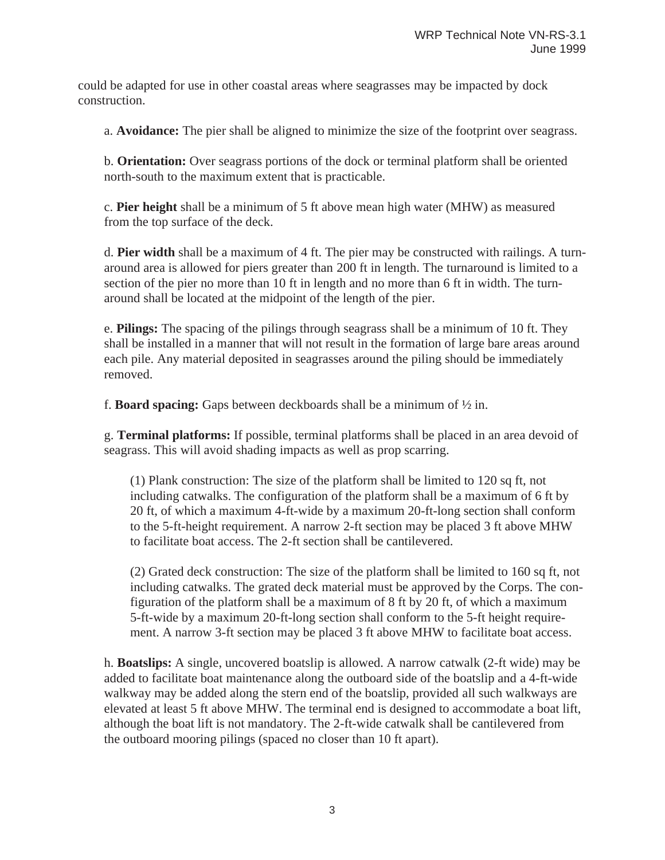could be adapted for use in other coastal areas where seagrasses may be impacted by dock construction.

a. **Avoidance:** The pier shall be aligned to minimize the size of the footprint over seagrass.

b. **Orientation:** Over seagrass portions of the dock or terminal platform shall be oriented north-south to the maximum extent that is practicable.

c. **Pier height** shall be a minimum of 5 ft above mean high water (MHW) as measured from the top surface of the deck.

d. **Pier width** shall be a maximum of 4 ft. The pier may be constructed with railings. A turnaround area is allowed for piers greater than 200 ft in length. The turnaround is limited to a section of the pier no more than 10 ft in length and no more than 6 ft in width. The turnaround shall be located at the midpoint of the length of the pier.

e. **Pilings:** The spacing of the pilings through seagrass shall be a minimum of 10 ft. They shall be installed in a manner that will not result in the formation of large bare areas around each pile. Any material deposited in seagrasses around the piling should be immediately removed.

f. **Board spacing:** Gaps between deckboards shall be a minimum of ½ in.

g. **Terminal platforms:** If possible, terminal platforms shall be placed in an area devoid of seagrass. This will avoid shading impacts as well as prop scarring.

(1) Plank construction: The size of the platform shall be limited to 120 sq ft, not including catwalks. The configuration of the platform shall be a maximum of 6 ft by 20 ft, of which a maximum 4-ft-wide by a maximum 20-ft-long section shall conform to the 5-ft-height requirement. A narrow 2-ft section may be placed 3 ft above MHW to facilitate boat access. The 2-ft section shall be cantilevered.

(2) Grated deck construction: The size of the platform shall be limited to 160 sq ft, not including catwalks. The grated deck material must be approved by the Corps. The configuration of the platform shall be a maximum of 8 ft by 20 ft, of which a maximum 5-ft-wide by a maximum 20-ft-long section shall conform to the 5-ft height requirement. A narrow 3-ft section may be placed 3 ft above MHW to facilitate boat access.

h. **Boatslips:** A single, uncovered boatslip is allowed. A narrow catwalk (2-ft wide) may be added to facilitate boat maintenance along the outboard side of the boatslip and a 4-ft-wide walkway may be added along the stern end of the boatslip, provided all such walkways are elevated at least 5 ft above MHW. The terminal end is designed to accommodate a boat lift, although the boat lift is not mandatory. The 2-ft-wide catwalk shall be cantilevered from the outboard mooring pilings (spaced no closer than 10 ft apart).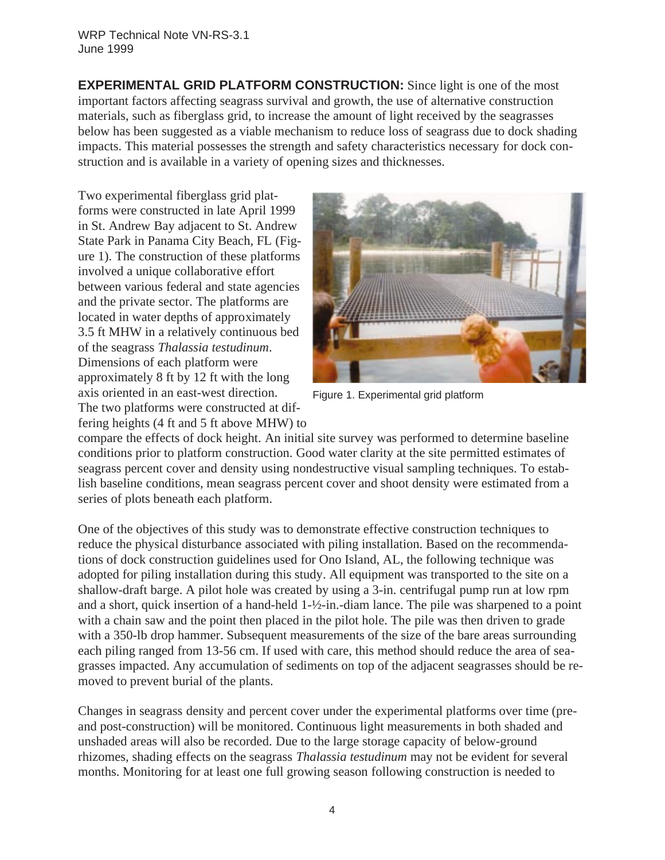**EXPERIMENTAL GRID PLATFORM CONSTRUCTION:** Since light is one of the most important factors affecting seagrass survival and growth, the use of alternative construction materials, such as fiberglass grid, to increase the amount of light received by the seagrasses below has been suggested as a viable mechanism to reduce loss of seagrass due to dock shading impacts. This material possesses the strength and safety characteristics necessary for dock construction and is available in a variety of opening sizes and thicknesses.

Two experimental fiberglass grid platforms were constructed in late April 1999 in St. Andrew Bay adjacent to St. Andrew State Park in Panama City Beach, FL (Figure 1). The construction of these platforms involved a unique collaborative effort between various federal and state agencies and the private sector. The platforms are located in water depths of approximately 3.5 ft MHW in a relatively continuous bed of the seagrass *Thalassia testudinum*. Dimensions of each platform were approximately 8 ft by 12 ft with the long axis oriented in an east-west direction. The two platforms were constructed at differing heights (4 ft and 5 ft above MHW) to



Figure 1. Experimental grid platform

compare the effects of dock height. An initial site survey was performed to determine baseline conditions prior to platform construction. Good water clarity at the site permitted estimates of seagrass percent cover and density using nondestructive visual sampling techniques. To establish baseline conditions, mean seagrass percent cover and shoot density were estimated from a series of plots beneath each platform.

One of the objectives of this study was to demonstrate effective construction techniques to reduce the physical disturbance associated with piling installation. Based on the recommendations of dock construction guidelines used for Ono Island, AL, the following technique was adopted for piling installation during this study. All equipment was transported to the site on a shallow-draft barge. A pilot hole was created by using a 3-in. centrifugal pump run at low rpm and a short, quick insertion of a hand-held 1-½-in.-diam lance. The pile was sharpened to a point with a chain saw and the point then placed in the pilot hole. The pile was then driven to grade with a 350-lb drop hammer. Subsequent measurements of the size of the bare areas surrounding each piling ranged from 13-56 cm. If used with care, this method should reduce the area of seagrasses impacted. Any accumulation of sediments on top of the adjacent seagrasses should be removed to prevent burial of the plants.

Changes in seagrass density and percent cover under the experimental platforms over time (preand post-construction) will be monitored. Continuous light measurements in both shaded and unshaded areas will also be recorded. Due to the large storage capacity of below-ground rhizomes, shading effects on the seagrass *Thalassia testudinum* may not be evident for several months. Monitoring for at least one full growing season following construction is needed to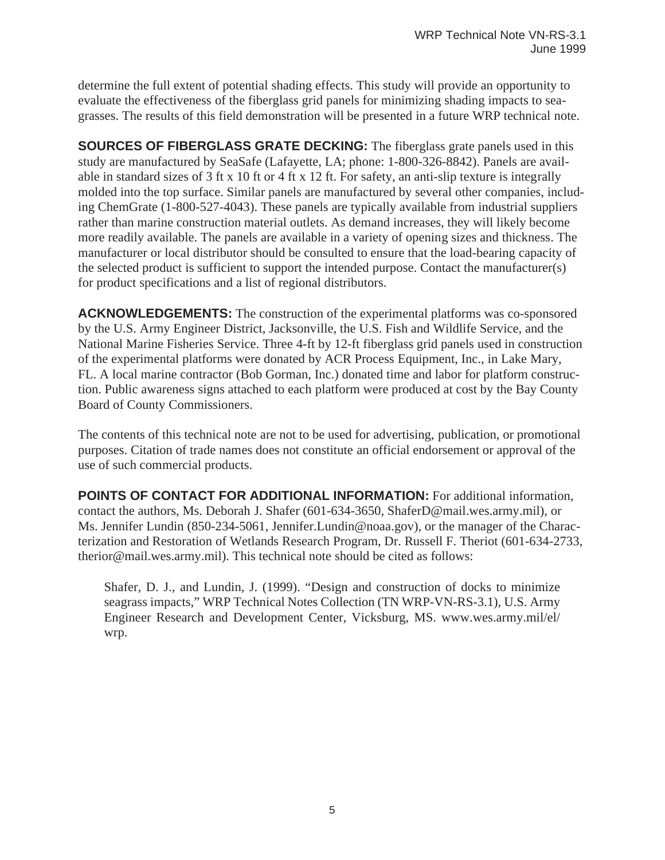determine the full extent of potential shading effects. This study will provide an opportunity to evaluate the effectiveness of the fiberglass grid panels for minimizing shading impacts to seagrasses. The results of this field demonstration will be presented in a future WRP technical note.

**SOURCES OF FIBERGLASS GRATE DECKING:** The fiberglass grate panels used in this study are manufactured by SeaSafe (Lafayette, LA; phone: 1-800-326-8842). Panels are available in standard sizes of 3 ft x 10 ft or 4 ft x 12 ft. For safety, an anti-slip texture is integrally molded into the top surface. Similar panels are manufactured by several other companies, including ChemGrate (1-800-527-4043). These panels are typically available from industrial suppliers rather than marine construction material outlets. As demand increases, they will likely become more readily available. The panels are available in a variety of opening sizes and thickness. The manufacturer or local distributor should be consulted to ensure that the load-bearing capacity of the selected product is sufficient to support the intended purpose. Contact the manufacturer(s) for product specifications and a list of regional distributors.

**ACKNOWLEDGEMENTS:** The construction of the experimental platforms was co-sponsored by the U.S. Army Engineer District, Jacksonville, the U.S. Fish and Wildlife Service, and the National Marine Fisheries Service. Three 4-ft by 12-ft fiberglass grid panels used in construction of the experimental platforms were donated by ACR Process Equipment, Inc., in Lake Mary, FL. A local marine contractor (Bob Gorman, Inc.) donated time and labor for platform construction. Public awareness signs attached to each platform were produced at cost by the Bay County Board of County Commissioners.

The contents of this technical note are not to be used for advertising, publication, or promotional purposes. Citation of trade names does not constitute an official endorsement or approval of the use of such commercial products.

**POINTS OF CONTACT FOR ADDITIONAL INFORMATION:** For additional information, contact the authors, Ms. Deborah J. Shafer (601-634-3650, ShaferD@mail.wes.army.mil), or Ms. Jennifer Lundin (850-234-5061, Jennifer.Lundin@noaa.gov), or the manager of the Characterization and Restoration of Wetlands Research Program, Dr. Russell F. Theriot (601-634-2733, therior@mail.wes.army.mil). This technical note should be cited as follows:

Shafer, D. J., and Lundin, J. (1999). "Design and construction of docks to minimize seagrass impacts," WRP Technical Notes Collection (TN WRP-VN-RS-3.1), U.S. Army Engineer Research and Development Center, Vicksburg, MS. www.wes.army.mil/el/ wrp.